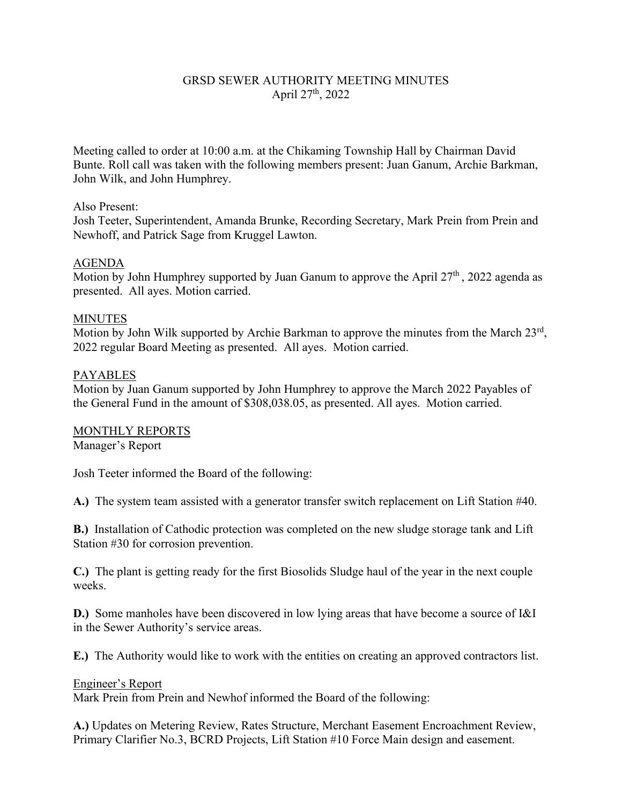# GRSD SEWER AUTHORITY MEETING MINUTES April 27<sup>th</sup>, 2022

Meeting called to order at 10:00 a.m. at the Chikaming Township Hall by Chairman David Bunte. Roll call was taken with the following members present: Juan Ganum, Archie Barkman, John Wilk, and John Humphrey.

#### Also Present:

Josh Teeter, Superintendent, Amanda Brunke, Recording Secretary, Mark Prein from Prein and Newhoff, and Patrick Sage from Kruggel Lawton.

### AGENDA

Motion by John Humphrey supported by Juan Ganum to approve the April  $27<sup>th</sup>$ , 2022 agenda as presented. All ayes. Motion carried.

### MINUTES

Motion by John Wilk supported by Archie Barkman to approve the minutes from the March 23rd, 2022 regular Board Meeting as presented. All ayes. Motion carried.

### PAYABLES

Motion by Juan Ganum supported by John Humphrey to approve the March 2022 Payables of the General Fund in the amount of \$308,038.05, as presented. All ayes. Motion carried.

#### MONTHLY REPORTS

Manager's Report

Josh Teeter informed the Board of the following:

**A.)** The system team assisted with a generator transfer switch replacement on Lift Station #40.

**B.)** Installation of Cathodic protection was completed on the new sludge storage tank and Lift Station #30 for corrosion prevention.

**C.)** The plant is getting ready for the first Biosolids Sludge haul of the year in the next couple weeks.

**D.)** Some manholes have been discovered in low lying areas that have become a source of I&I in the Sewer Authority's service areas.

**E.)** The Authority would like to work with the entities on creating an approved contractors list.

#### Engineer's Report

Mark Prein from Prein and Newhof informed the Board of the following:

**A.)** Updates on Metering Review, Rates Structure, Merchant Easement Encroachment Review, Primary Clarifier No.3, BCRD Projects, Lift Station #10 Force Main design and easement.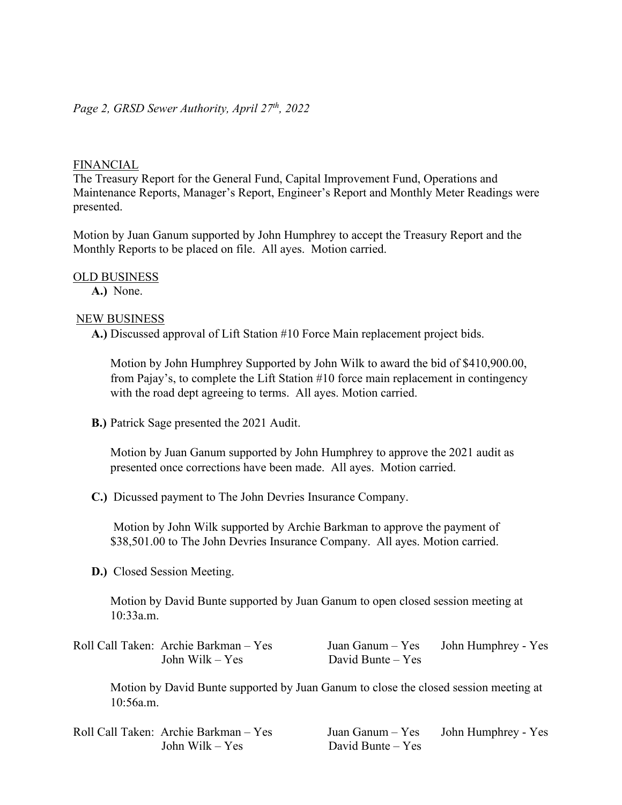# FINANCIAL

The Treasury Report for the General Fund, Capital Improvement Fund, Operations and Maintenance Reports, Manager's Report, Engineer's Report and Monthly Meter Readings were presented.

Motion by Juan Ganum supported by John Humphrey to accept the Treasury Report and the Monthly Reports to be placed on file. All ayes. Motion carried.

### OLD BUSINESS

**A.)** None.

# NEW BUSINESS

**A.)** Discussed approval of Lift Station #10 Force Main replacement project bids.

Motion by John Humphrey Supported by John Wilk to award the bid of \$410,900.00, from Pajay's, to complete the Lift Station #10 force main replacement in contingency with the road dept agreeing to terms. All ayes. Motion carried.

**B.)** Patrick Sage presented the 2021 Audit.

Motion by Juan Ganum supported by John Humphrey to approve the 2021 audit as presented once corrections have been made. All ayes. Motion carried.

**C.)** Dicussed payment to The John Devries Insurance Company.

Motion by John Wilk supported by Archie Barkman to approve the payment of \$38,501.00 to The John Devries Insurance Company. All ayes. Motion carried.

**D.)** Closed Session Meeting.

Motion by David Bunte supported by Juan Ganum to open closed session meeting at 10:33a.m.

| Roll Call Taken: Archie Barkman - Yes | Juan Ganum – Yes    | John Humphrey - Yes |
|---------------------------------------|---------------------|---------------------|
| John Wilk $-$ Yes                     | David Bunte $-$ Yes |                     |

Motion by David Bunte supported by Juan Ganum to close the closed session meeting at 10:56a.m.

| Roll Call Taken: Archie Barkman - Yes |
|---------------------------------------|
| John Wilk $-$ Yes                     |

Juan Ganum – Yes John Humphrey - Yes David Bunte – Yes